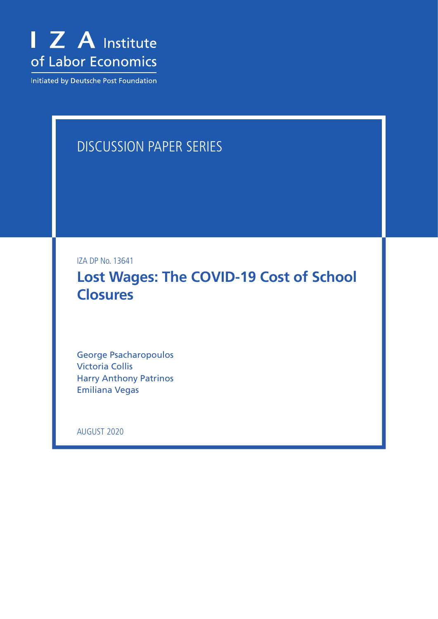

Initiated by Deutsche Post Foundation

## DISCUSSION PAPER SERIES

IZA DP No. 13641

**Lost Wages: The COVID-19 Cost of School Closures**

George Psacharopoulos Victoria Collis Harry Anthony Patrinos Emiliana Vegas

AUGUST 2020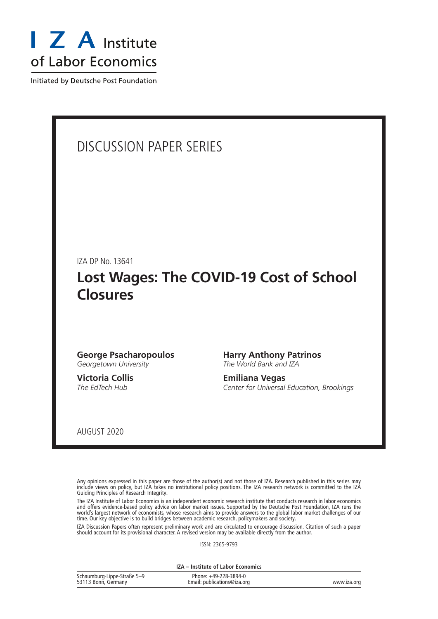

Initiated by Deutsche Post Foundation

### DISCUSSION PAPER SERIES

IZA DP No. 13641

### **Lost Wages: The COVID-19 Cost of School Closures**

#### **George Psacharopoulos** *Georgetown University*

**Victoria Collis** *The EdTech Hub*

**Harry Anthony Patrinos** *The World Bank and IZA*

**Emiliana Vegas** *Center for Universal Education, Brookings*

AUGUST 2020

Any opinions expressed in this paper are those of the author(s) and not those of IZA. Research published in this series may include views on policy, but IZA takes no institutional policy positions. The IZA research network is committed to the IZA Guiding Principles of Research Integrity.

The IZA Institute of Labor Economics is an independent economic research institute that conducts research in labor economics and offers evidence-based policy advice on labor market issues. Supported by the Deutsche Post Foundation, IZA runs the world's largest network of economists, whose research aims to provide answers to the global labor market challenges of our time. Our key objective is to build bridges between academic research, policymakers and society.

IZA Discussion Papers often represent preliminary work and are circulated to encourage discussion. Citation of such a paper should account for its provisional character. A revised version may be available directly from the author.

ISSN: 2365-9793

**IZA – Institute of Labor Economics**

| Schaumburg-Lippe-Straße 5-9 | Phone: +49-228-3894-0       |             |
|-----------------------------|-----------------------------|-------------|
| 53113 Bonn, Germany         | Email: publications@iza.org | www.iza.org |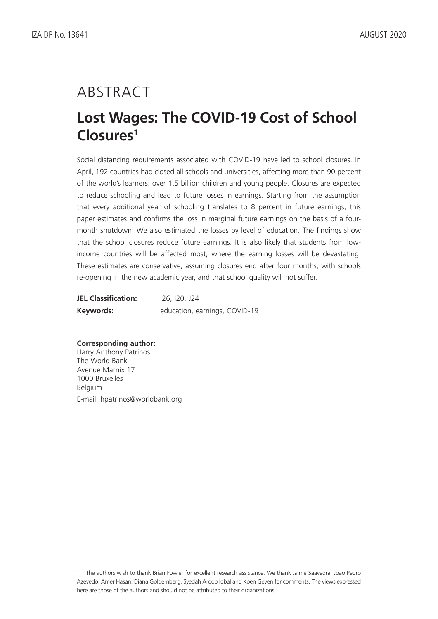# ABSTRACT

## **Lost Wages: The COVID-19 Cost of School Closures1**

Social distancing requirements associated with COVID-19 have led to school closures. In April, 192 countries had closed all schools and universities, affecting more than 90 percent of the world's learners: over 1.5 billion children and young people. Closures are expected to reduce schooling and lead to future losses in earnings. Starting from the assumption that every additional year of schooling translates to 8 percent in future earnings, this paper estimates and confirms the loss in marginal future earnings on the basis of a fourmonth shutdown. We also estimated the losses by level of education. The findings show that the school closures reduce future earnings. It is also likely that students from lowincome countries will be affected most, where the earning losses will be devastating. These estimates are conservative, assuming closures end after four months, with schools re-opening in the new academic year, and that school quality will not suffer.

| <b>JEL Classification:</b> | <u>126, 120, J24</u>          |
|----------------------------|-------------------------------|
| Keywords:                  | education, earnings, COVID-19 |

#### **Corresponding author:**

Harry Anthony Patrinos The World Bank Avenue Marnix 17 1000 Bruxelles Belgium E-mail: hpatrinos@worldbank.org

<sup>1</sup> The authors wish to thank Brian Fowler for excellent research assistance. We thank Jaime Saavedra, Joao Pedro Azevedo, Amer Hasan, Diana Goldemberg, Syedah Aroob Iqbal and Koen Geven for comments. The views expressed here are those of the authors and should not be attributed to their organizations.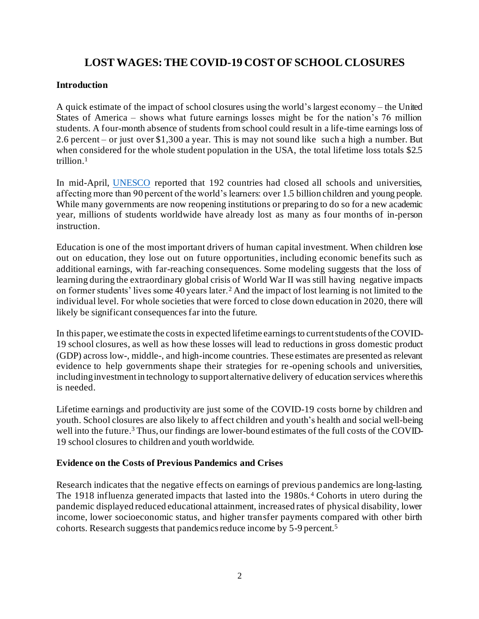### **LOST WAGES: THE COVID-19 COST OF SCHOOL CLOSURES**

#### **Introduction**

A quick estimate of the impact of school closures using the world's largest economy – the United States of America – shows what future earnings losses might be for the nation's 76 million students. A four-month absence of students from school could result in a life-time earnings loss of 2.6 percent – or just over \$1,300 a year. This is may not sound like such a high a number. But when considered for the whole student population in the USA, the total lifetime loss totals \$2.5 trillion.<sup>1</sup>

In mid-April, [UNESCO](https://en.unesco.org/covid19/educationresponse) reported that 192 countries had closed all schools and universities, affecting more than 90 percent of the world's learners: over 1.5 billion children and young people. While many governments are now reopening institutions or preparing to do so for a new academic year, millions of students worldwide have already lost as many as four months of in-person instruction.

Education is one of the most important drivers of human capital investment. When children lose out on education, they lose out on future opportunities, including economic benefits such as additional earnings, with far-reaching consequences. Some modeling suggests that the loss of learning during the extraordinary global crisis of World War II was still having negative impacts on former students' lives some 40 years later.<sup>2</sup> And the impact of lost learning is not limited to the individual level. For whole societies that were forced to close down education in 2020, there will likely be significant consequences far into the future.

In this paper, we estimate the costs in expected lifetime earnings to current students of the COVID-19 school closures, as well as how these losses will lead to reductions in gross domestic product (GDP) across low-, middle-, and high-income countries. These estimates are presented as relevant evidence to help governments shape their strategies for re-opening schools and universities, including investment in technology to support alternative delivery of education services where this is needed.

Lifetime earnings and productivity are just some of the COVID-19 costs borne by children and youth. School closures are also likely to affect children and youth's health and social well-being well into the future.<sup>3</sup> Thus, our findings are lower-bound estimates of the full costs of the COVID-19 school closures to children and youth worldwide.

#### **Evidence on the Costs of Previous Pandemics and Crises**

Research indicates that the negative effects on earnings of previous pandemics are long-lasting. The 1918 influenza generated impacts that lasted into the 1980s. <sup>4</sup> Cohorts in utero during the pandemic displayed reduced educational attainment, increased rates of physical disability, lower income, lower socioeconomic status, and higher transfer payments compared with other birth cohorts. Research suggests that pandemics reduce income by 5-9 percent.<sup>5</sup>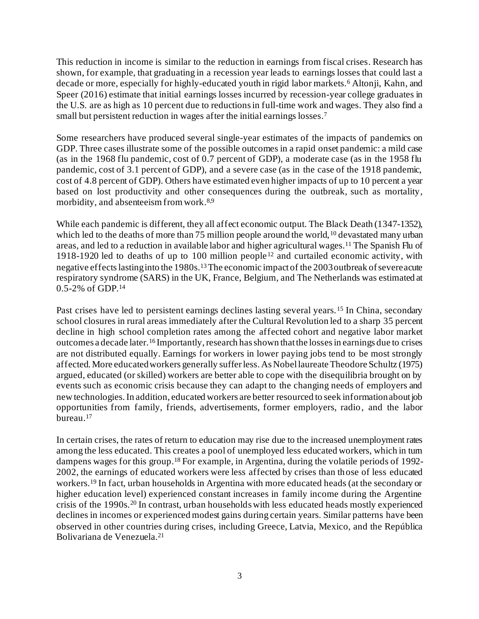This reduction in income is similar to the reduction in earnings from fiscal crises. Research has shown, for example, that graduating in a recession year leads to earnings losses that could last a decade or more, especially for highly-educated youth in rigid labor markets.<sup>6</sup> Altonji, Kahn, and Speer (2016) estimate that initial earnings losses incurred by recession-year college graduates in the U.S. are as high as 10 percent due to reductions in full-time work and wages. They also find a small but persistent reduction in wages after the initial earnings losses.<sup>7</sup>

Some researchers have produced several single-year estimates of the impacts of pandemics on GDP. Three cases illustrate some of the possible outcomes in a rapid onset pandemic: a mild case (as in the 1968 flu pandemic, cost of 0.7 percent of GDP), a moderate case (as in the 1958 flu pandemic, cost of 3.1 percent of GDP), and a severe case (as in the case of the 1918 pandemic, cost of 4.8 percent of GDP). Others have estimated even higher impacts of up to 10 percent a year based on lost productivity and other consequences during the outbreak, such as mortality, morbidity, and absenteeism from work. 8,9

While each pandemic is different, they all affect economic output. The Black Death (1347-1352), which led to the deaths of more than 75 million people around the world,<sup>10</sup> devastated many urban areas, and led to a reduction in available labor and higher agricultural wages.<sup>11</sup> The Spanish Flu of 1918-1920 led to deaths of up to 100 million people <sup>12</sup> and curtailed economic activity, with negative effects lastinginto the 1980s.13The economic impact of the 2003 outbreak of severe acute respiratory syndrome (SARS) in the UK, France, Belgium, and The Netherlands was estimated at 0.5-2% of GDP.<sup>14</sup>

Past crises have led to persistent earnings declines lasting several years. <sup>15</sup> In China, secondary school closures in rural areas immediately after the Cultural Revolution led to a sharp 35 percent decline in high school completion rates among the affected cohort and negative labor market outcomes a decade later.<sup>16</sup> Importantly, research has shown that the lossesin earnings due to crises are not distributed equally. Earnings for workers in lower paying jobs tend to be most strongly affected. More educated workers generally suffer less. As Nobel laureate Theodore Schultz (1975) argued, educated (or skilled) workers are better able to cope with the disequilibria brought on by events such as economic crisis because they can adapt to the changing needs of employers and new technologies. In addition, educated workers are better resourced to seek information about job opportunities from family, friends, advertisements, former employers, radio, and the labor bureau.<sup>17</sup>

In certain crises, the rates of return to education may rise due to the increased unemployment rates among the less educated. This creates a pool of unemployed less educated workers, which in turn dampens wages for this group. <sup>18</sup> For example, in Argentina, during the volatile periods of 1992- 2002, the earnings of educated workers were less affected by crises than those of less educated workers.<sup>19</sup> In fact, urban households in Argentina with more educated heads (at the secondary or higher education level) experienced constant increases in family income during the Argentine crisis of the 1990s.<sup>20</sup> In contrast, urban households with less educated heads mostly experienced declines in incomes or experienced modest gains during certain years. Similar patterns have been observed in other countries during crises, including Greece, Latvia, Mexico, and the República Bolivariana de Venezuela.21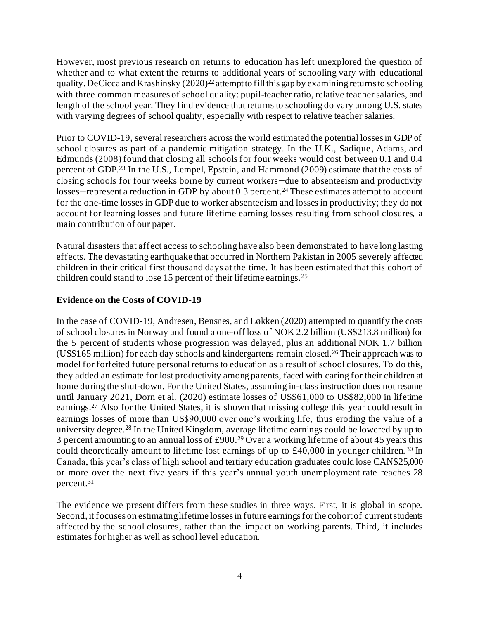However, most previous research on returns to education has left unexplored the question of whether and to what extent the returns to additional years of schooling vary with educational quality. DeCicca and Krashinsky  $(2020)^{22}$  attempt to fill this gap by examining returns to schooling with three common measures of school quality: pupil-teacher ratio, relative teacher salaries, and length of the school year. They find evidence that returns to schooling do vary among U.S. states with varying degrees of school quality, especially with respect to relative teacher salaries.

Prior to COVID-19, several researchers across the world estimated the potential losses in GDP of school closures as part of a pandemic mitigation strategy. In the U.K., Sadique , Adams, and Edmunds (2008) found that closing all schools for four weeks would cost between 0.1 and 0.4 percent of GDP.<sup>23</sup> In the U.S., Lempel, Epstein, and Hammond (2009) estimate that the costs of closing schools for four weeks borne by current workers—due to absenteeism and productivity losses—represent a reduction in GDP by about 0.3 percent.<sup>24</sup> These estimates attempt to account for the one-time losses in GDP due to worker absenteeism and losses in productivity; they do not account for learning losses and future lifetime earning losses resulting from school closures, a main contribution of our paper.

Natural disasters that affect access to schooling have also been demonstrated to have long lasting effects. The devastating earthquake that occurred in Northern Pakistan in 2005 severely affected children in their critical first thousand days at the time. It has been estimated that this cohort of children could stand to lose 15 percent of their lifetime earnings.<sup>25</sup>

#### **Evidence on the Costs of COVID-19**

In the case of COVID-19, Andresen, Bensnes, and Løkken (2020) attempted to quantify the costs of school closures in Norway and found a one-off loss of NOK 2.2 billion (US\$213.8 million) for the 5 percent of students whose progression was delayed, plus an additional NOK 1.7 billion (US\$165 million) for each day schools and kindergartens remain closed.<sup>26</sup> Their approach was to model for forfeited future personal returns to education as a result of school closures. To do this, they added an estimate for lost productivity among parents, faced with caring for their children at home during the shut-down. For the United States, assuming in-class instruction does not resume until January 2021, Dorn et al. (2020) estimate losses of US\$61,000 to US\$82,000 in lifetime earnings.<sup>27</sup> Also for the United States, it is shown that missing college this year could result in earnings losses of more than US\$90,000 over one's working life, thus eroding the value of a university degree.<sup>28</sup> In the United Kingdom, average lifetime earnings could be lowered by up to 3 percent amounting to an annual loss of £900.<sup>29</sup> Over a working lifetime of about 45 years this could theoretically amount to lifetime lost earnings of up to £40,000 in younger children. <sup>30</sup> In Canada, this year's class of high school and tertiary education graduates could lose CAN\$25,000 or more over the next five years if this year's annual youth unemployment rate reaches 28 percent. 31

The evidence we present differs from these studies in three ways. First, it is global in scope. Second, it focuses on estimating lifetime losses in future earnings for the cohort of current students affected by the school closures, rather than the impact on working parents. Third, it includes estimates for higher as well as school level education.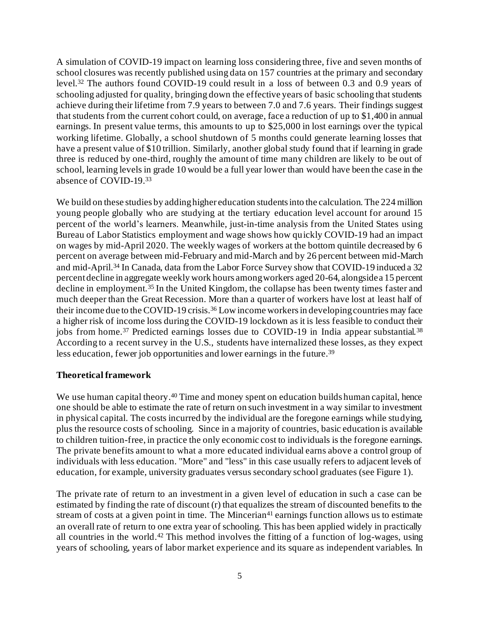A simulation of COVID-19 impact on learning loss considering three, five and seven months of school closures was recently published using data on 157 countries at the primary and secondary level.<sup>32</sup> The authors found COVID-19 could result in a loss of between 0.3 and 0.9 years of schooling adjusted for quality, bringing down the effective years of basic schooling that students achieve during their lifetime from 7.9 years to between 7.0 and 7.6 years. Their findings suggest that students from the current cohort could, on average, face a reduction of up to \$1,400 in annual earnings. In present value terms, this amounts to up to \$25,000 in lost earnings over the typical working lifetime. Globally, a school shutdown of 5 months could generate learning losses that have a present value of \$10 trillion. Similarly, another global study found that if learning in grade three is reduced by one-third, roughly the amount of time many children are likely to be out of school, learning levels in grade 10 would be a full year lower than would have been the case in the absence of COVID-19. 33

We build on these studies by adding higher education students into the calculation. The 224 million young people globally who are studying at the tertiary education level account for around 15 percent of the world's learners. Meanwhile, just-in-time analysis from the United States using Bureau of Labor Statistics employment and wage shows how quickly COVID-19 had an impact on wages by mid-April 2020. The weekly wages of workers at the bottom quintile decreased by 6 percent on average between mid-February and mid-March and by 26 percent between mid-March and mid-April.<sup>34</sup> In Canada, data from the Labor Force Survey show that COVID-19 induced a 32 percent decline in aggregate weekly work hours among workers aged 20-64, alongside a 15 percent decline in employment.<sup>35</sup> In the United Kingdom, the collapse has been twenty times faster and much deeper than the Great Recession. More than a quarter of workers have lost at least half of their income due to the COVID-19 crisis. <sup>36</sup> Low income workers in developing countries may face a higher risk of income loss during the COVID-19 lockdown as it is less feasible to conduct their jobs from home.<sup>37</sup> Predicted earnings losses due to COVID-19 in India appear substantial.<sup>38</sup> According to a recent survey in the U.S., students have internalized these losses, as they expect less education, fewer job opportunities and lower earnings in the future. 39

#### **Theoretical framework**

We use human capital theory.<sup>40</sup> Time and money spent on education builds human capital, hence one should be able to estimate the rate of return on such investment in a way similar to investment in physical capital. The costs incurred by the individual are the foregone earnings while studying, plus the resource costs of schooling. Since in a majority of countries, basic education is available to children tuition-free, in practice the only economic cost to individuals is the foregone earnings. The private benefits amount to what a more educated individual earns above a control group of individuals with less education. "More" and "less" in this case usually refers to adjacent levels of education, for example, university graduates versus secondary school graduates (see Figure 1).

The private rate of return to an investment in a given level of education in such a case can be estimated by finding the rate of discount (r) that equalizes the stream of discounted benefits to the stream of costs at a given point in time. The Mincerian<sup>41</sup> earnings function allows us to estimate an overall rate of return to one extra year of schooling. This has been applied widely in practically all countries in the world. <sup>42</sup> This method involves the fitting of a function of log-wages, using years of schooling, years of labor market experience and its square as independent variables. In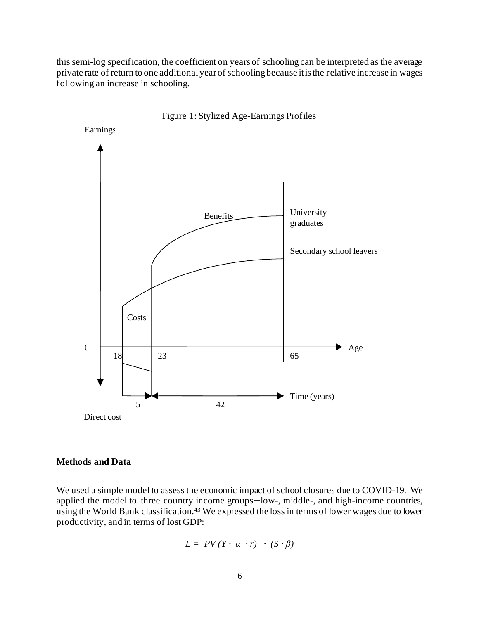this semi-log specification, the coefficient on years of schooling can be interpreted as the average private rate of return to one additional year of schooling because it is the relative increase in wages following an increase in schooling.



Figure 1: Stylized Age-Earnings Profiles

#### **Methods and Data**

We used a simple model to assess the economic impact of school closures due to COVID-19. We applied the model to three country income groups—low-, middle-, and high-income countries, using the World Bank classification. <sup>43</sup> We expressed the loss in terms of lower wages due to lower productivity, and in terms of lost GDP:

$$
L = PV(Y \cdot \alpha \cdot r) \cdot (S \cdot \beta)
$$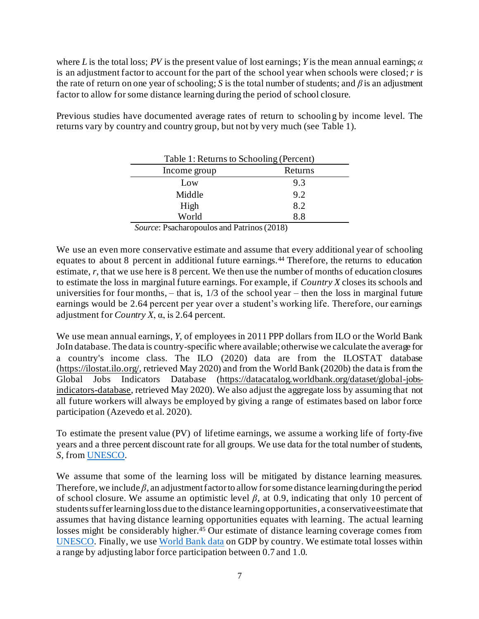where *L* is the total loss; *PV* is the present value of lost earnings; *Y* is the mean annual earnings; *α* is an adjustment factor to account for the part of the school year when schools were closed; *r* is the rate of return on one year of schooling; *S* is the total number of students; and *β* is an adjustment factor to allow for some distance learning during the period of school closure.

<span id="page-8-0"></span>Previous studies have documented average rates of return to schooling by income level. The returns vary by country and country group, but not by very much (se[e Table 1](#page-8-0)).

| Table 1: Returns to Schooling (Percent) |                                    |  |
|-----------------------------------------|------------------------------------|--|
| Income group                            | Returns                            |  |
| Low                                     | 9.3                                |  |
| Middle                                  | 9.2                                |  |
| High                                    | 8.2                                |  |
| World                                   | 8.8                                |  |
| $\sim$<br>--<br>$\sim$<br>$\sim$        | $\sim$ $\sim$ $\sim$ $\sim$ $\sim$ |  |

*Source*: Psacharopoulos and Patrinos (2018)

We use an even more conservative estimate and assume that every additional year of schooling equates to about 8 percent in additional future earnings.<sup>44</sup> Therefore, the returns to education estimate, *r*, that we use here is 8 percent. We then use the number of months of education closures to estimate the loss in marginal future earnings. For example, if *Country X* closes its schools and universities for four months, – that is, 1/3 of the school year – then the loss in marginal future earnings would be 2.64 percent per year over a student's working life. Therefore, our earnings adjustment for *Country X*, α, is 2.64 percent.

We use mean annual earnings, *Y*, of employees in 2011 PPP dollars from ILO or the World Bank JoIn database. The data is country-specific where available; otherwise we calculate the average for a country's income class. The ILO (2020) data are from the ILOSTAT database [\(https://ilostat.ilo.org/,](https://ilostat.ilo.org/) retrieved May 2020) and from the World Bank (2020b) the data is from the Global Jobs Indicators Database [\(https://datacatalog.worldbank.org/dataset/global-jobs](https://datacatalog.worldbank.org/dataset/global-jobs-indicators-database)[indicators-database](https://datacatalog.worldbank.org/dataset/global-jobs-indicators-database), retrieved May 2020). We also adjust the aggregate loss by assuming that not all future workers will always be employed by giving a range of estimates based on labor force participation (Azevedo et al. 2020).

To estimate the present value (PV) of lifetime earnings, we assume a working life of forty-five years and a three percent discount rate for all groups. We use data for the total number of students, *S*, fro[m UNESCO.](http://data.uis.unesco.org/)

We assume that some of the learning loss will be mitigated by distance learning measures. Therefore, we include *β*, an adjustment factor to allow for some distance learning during the period of school closure. We assume an optimistic level *β*, at 0.9, indicating that only 10 percent of students suffer learning loss due to the distance learning opportunities, a conservative estimate that assumes that having distance learning opportunities equates with learning. The actual learning losses might be considerably higher.<sup>45</sup> Our estimate of distance learning coverage comes from [UNESCO.](https://en.unesco.org/covid19/educationresponse) Finally, we use [World Bank data](https://databank.worldbank.org/home.aspx) on GDP by country. We estimate total losses within a range by adjusting labor force participation between 0.7 and 1.0.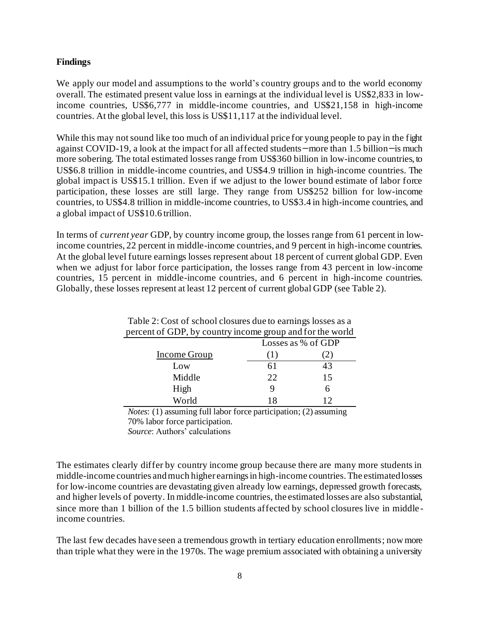#### **Findings**

We apply our model and assumptions to the world's country groups and to the world economy overall. The estimated present value loss in earnings at the individual level is US\$2,833 in lowincome countries, US\$6,777 in middle-income countries, and US\$21,158 in high-income countries. At the global level, this loss is US\$11,117 at the individual level.

While this may not sound like too much of an individual price for young people to pay in the fight against COVID-19, a look at the impact for all affected students—more than 1.5 billion—is much more sobering. The total estimated losses range from US\$360 billion in low-income countries, to US\$6.8 trillion in middle-income countries, and US\$4.9 trillion in high-income countries. The global impact is US\$15.1 trillion. Even if we adjust to the lower bound estimate of labor force participation, these losses are still large. They range from US\$252 billion for low-income countries, to US\$4.8 trillion in middle-income countries, to US\$3.4 in high-income countries, and a global impact of US\$10.6 trillion.

In terms of *current year* GDP, by country income group, the losses range from 61 percent in lowincome countries, 22 percent in middle-income countries, and 9 percent in high-income countries. At the global level future earnings losses represent about 18 percent of current global GDP. Even when we adjust for labor force participation, the losses range from 43 percent in low-income countries, 15 percent in middle-income countries, and 6 percent in high-income countries. Globally, these losses represent at least 12 percent of current global GDP (see Table 2).

| percent of GDP, by country income group and for the world |                    |            |  |  |
|-----------------------------------------------------------|--------------------|------------|--|--|
|                                                           | Losses as % of GDP |            |  |  |
| Income Group                                              | 1)                 | $\angle$ ) |  |  |
| Low                                                       | 61                 | 43         |  |  |
| Middle                                                    | 22.                | 15         |  |  |
| High                                                      |                    | 6          |  |  |
| World                                                     | 18                 |            |  |  |

Table 2: Cost of school closures due to earnings losses as a

*Notes*: (1) assuming full labor force participation; (2) assuming 70% labor force participation.

*Source*: Authors' calculations

The estimates clearly differ by country income group because there are many more students in middle-income countries and much higher earnings in high-income countries. The estimated losses for low-income countries are devastating given already low earnings, depressed growth forecasts, and higher levels of poverty. In middle-income countries, the estimated losses are also substantial, since more than 1 billion of the 1.5 billion students affected by school closures live in middle income countries.

The last few decades have seen a tremendous growth in tertiary education enrollments; now more than triple what they were in the 1970s. The wage premium associated with obtaining a university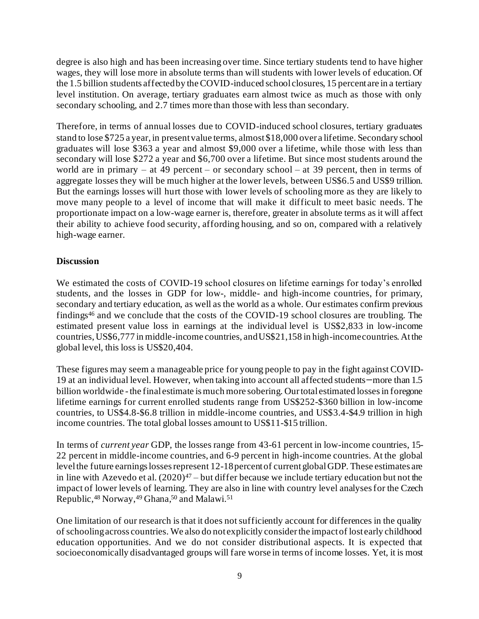degree is also high and has been increasing over time. Since tertiary students tend to have higher wages, they will lose more in absolute terms than will students with lower levels of education. Of the 1.5 billion students affected by the COVID-induced school closures, 15 percent are in a tertiary level institution. On average, tertiary graduates earn almost twice as much as those with only secondary schooling, and 2.7 times more than those with less than secondary.

Therefore, in terms of annual losses due to COVID-induced school closures, tertiary graduates stand to lose \$725 a year, in present value terms, almost \$18,000 over a lifetime. Secondary school graduates will lose \$363 a year and almost \$9,000 over a lifetime, while those with less than secondary will lose \$272 a year and \$6,700 over a lifetime. But since most students around the world are in primary – at 49 percent – or secondary school – at 39 percent, then in terms of aggregate losses they will be much higher at the lower levels, between US\$6.5 and US\$9 trillion. But the earnings losses will hurt those with lower levels of schooling more as they are likely to move many people to a level of income that will make it difficult to meet basic needs. The proportionate impact on a low-wage earner is, therefore, greater in absolute terms as it will affect their ability to achieve food security, affording housing, and so on, compared with a relatively high-wage earner.

#### **Discussion**

We estimated the costs of COVID-19 school closures on lifetime earnings for today's enrolled students, and the losses in GDP for low-, middle- and high-income countries, for primary, secondary and tertiary education, as well as the world as a whole. Our estimates confirm previous findings<sup>46</sup> and we conclude that the costs of the COVID-19 school closures are troubling. The estimated present value loss in earnings at the individual level is US\$2,833 in low-income countries, US\$6,777 in middle-income countries, and US\$21,158 in high-income countries. At the global level, this loss is US\$20,404.

These figures may seem a manageable price for young people to pay in the fight against COVID-19 at an individual level. However, when taking into account all affected students—more than 1.5 billion worldwide - the final estimate is much more sobering. Our total estimated losses in foregone lifetime earnings for current enrolled students range from US\$252-\$360 billion in low-income countries, to US\$4.8-\$6.8 trillion in middle-income countries, and US\$3.4-\$4.9 trillion in high income countries. The total global losses amount to US\$11-\$15 trillion.

In terms of *current year* GDP, the losses range from 43-61 percent in low-income countries, 15- 22 percent in middle-income countries, and 6-9 percent in high-income countries. At the global level the future earnings losses represent 12-18 percent of current global GDP. These estimates are in line with Azevedo et al.  $(2020)^{47}$  – but differ because we include tertiary education but not the impact of lower levels of learning. They are also in line with country level analyses for the Czech Republic, <sup>48</sup> Norway, <sup>49</sup> Ghana, <sup>50</sup> and Malawi.<sup>51</sup>

One limitation of our research is that it does not sufficiently account for differences in the quality of schooling across countries. We also do not explicitly consider the impact of lost early childhood education opportunities. And we do not consider distributional aspects. It is expected that socioeconomically disadvantaged groups will fare worse in terms of income losses. Yet, it is most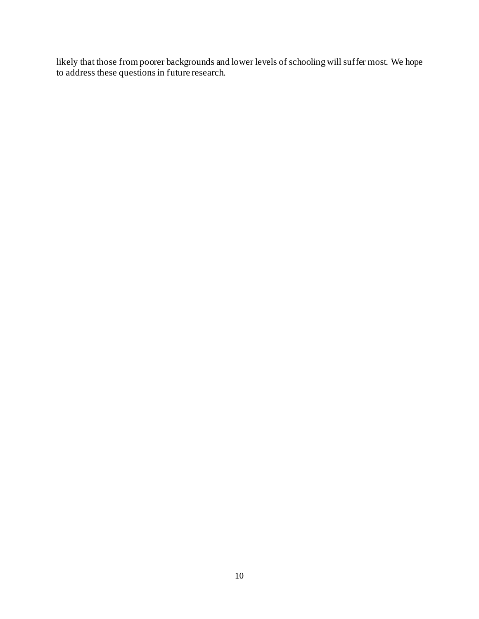likely that those from poorer backgrounds and lower levels of schooling will suffer most. We hope to address these questions in future research.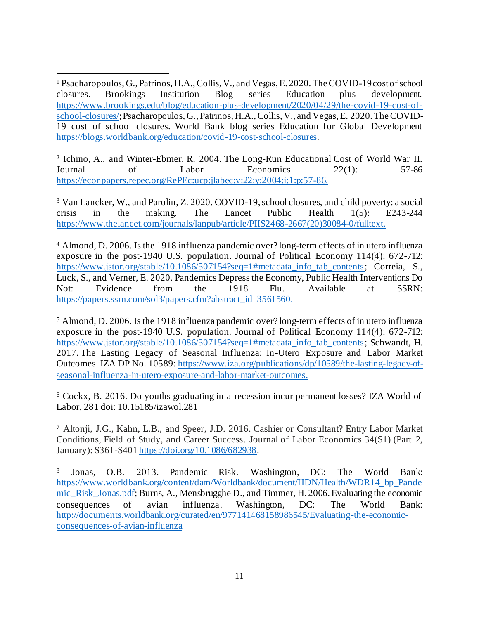<sup>1</sup> Psacharopoulos, G., Patrinos, H.A., Collis, V., and Vegas, E. 2020. The COVID-19 cost of school closures. Brookings Institution Blog series Education plus development. [https://www.brookings.edu/blog/education-plus-development/2020/04/29/the-covid-19-cost-of](https://www.brookings.edu/blog/education-plus-development/2020/04/29/the-covid-19-cost-of-school-closures/)[school-closures/](https://www.brookings.edu/blog/education-plus-development/2020/04/29/the-covid-19-cost-of-school-closures/); Psacharopoulos, G., Patrinos, H.A., Collis, V., and Vegas, E. 2020. The COVID-19 cost of school closures. World Bank blog series Education for Global Development <https://blogs.worldbank.org/education/covid-19-cost-school-closures>.

2 Ichino, A., and Winter-Ebmer, R. 2004. The Long-Run Educational Cost of World War II. Journal of Labor Economics 22(1): 57-86 <https://econpapers.repec.org/RePEc:ucp:jlabec:v:22:y:2004:i:1:p:57-86>.

<sup>3</sup> Van Lancker, W., and Parolin, Z. 2020. COVID-19, school closures, and child poverty: a social crisis in the making. The Lancet Public Health 1(5): E243-244 [https://www.thelancet.com/journals/lanpub/article/PIIS2468-2667\(20\)30084-0/fulltext](https://www.thelancet.com/journals/lanpub/article/PIIS2468-2667(20)30084-0/fulltext).

<sup>4</sup> Almond, D. 2006. Is the 1918 influenza pandemic over? long-term effects of in utero influenza exposure in the post-1940 U.S. population. Journal of Political Economy 114(4): 672-712: [https://www.jstor.org/stable/10.1086/507154?seq=1#metadata\\_info\\_tab\\_contents](https://www.jstor.org/stable/10.1086/507154?seq=1#metadata_info_tab_contents); Correia, S., Luck, S., and Verner, E. 2020. Pandemics Depress the Economy, Public Health Interventions Do Not: Evidence from the 1918 Flu. Available at SSRN: [https://papers.ssrn.com/sol3/papers.cfm?abstract\\_id=3561560](https://papers.ssrn.com/sol3/papers.cfm?abstract_id=3561560).

<sup>5</sup> Almond, D. 2006. Is the 1918 influenza pandemic over? long-term effects of in utero influenza exposure in the post-1940 U.S. population. Journal of Political Economy 114(4): 672-712: [https://www.jstor.org/stable/10.1086/507154?seq=1#metadata\\_info\\_tab\\_contents](https://www.jstor.org/stable/10.1086/507154?seq=1#metadata_info_tab_contents); Schwandt, H. 2017. The Lasting Legacy of Seasonal Influenza: In-Utero Exposure and Labor Market Outcomes. IZA DP No. 10589[: https://www.iza.org/publications/dp/10589/the-lasting-legacy-of](https://www.iza.org/publications/dp/10589/the-lasting-legacy-of-seasonal-influenza-in-utero-exposure-and-labor-market-outcomes)[seasonal-influenza-in-utero-exposure-and-labor-market-outcomes](https://www.iza.org/publications/dp/10589/the-lasting-legacy-of-seasonal-influenza-in-utero-exposure-and-labor-market-outcomes).

<sup>6</sup> Cockx, B. 2016. Do youths graduating in a recession incur permanent losses? IZA World of Labor, 281 doi: 10.15185/izawol.281

<sup>7</sup> Altonji, J.G., Kahn, L.B., and Speer, J.D. 2016. Cashier or Consultant? Entry Labor Market Conditions, Field of Study, and Career Success. Journal of Labor Economics 34(S1) (Part 2, January): S361-S40[1 https://doi.org/10.1086/682938](https://doi.org/10.1086/682938).

<sup>8</sup> Jonas, O.B. 2013. Pandemic Risk. Washington, DC: The World Bank: [https://www.worldbank.org/content/dam/Worldbank/document/HDN/Health/WDR14\\_bp\\_Pande](https://www.worldbank.org/content/dam/Worldbank/document/HDN/Health/WDR14_bp_Pandemic_Risk_Jonas.pdf) [mic\\_Risk\\_Jonas.pdf](https://www.worldbank.org/content/dam/Worldbank/document/HDN/Health/WDR14_bp_Pandemic_Risk_Jonas.pdf); Burns, A., Mensbrugghe D., and Timmer, H. 2006. Evaluating the economic consequences of avian influenza. Washington, DC: The World Bank: [http://documents.worldbank.org/curated/en/977141468158986545/Evaluating-the-economic](http://documents.worldbank.org/curated/en/977141468158986545/Evaluating-the-economic-consequences-of-avian-influenza)[consequences-of-avian-influenza](http://documents.worldbank.org/curated/en/977141468158986545/Evaluating-the-economic-consequences-of-avian-influenza)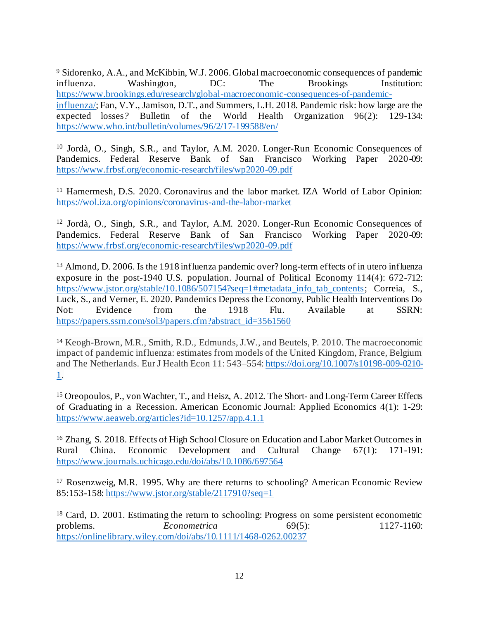<sup>9</sup> Sidorenko, A.A., and McKibbin, W.J. 2006. Global macroeconomic consequences of pandemic influenza. Washington, DC: The Brookings Institution: [https://www.brookings.edu/research/global-macroeconomic-consequences-of-pandemic](https://www.brookings.edu/research/global-macroeconomic-consequences-of-pandemic-influenza/)[influenza/](https://www.brookings.edu/research/global-macroeconomic-consequences-of-pandemic-influenza/); Fan, V.Y., Jamison, D.T., and Summers, L.H. 2018. Pandemic risk: how large are the expected losses*?* Bulletin of the World Health Organization 96(2): 129-134: <https://www.who.int/bulletin/volumes/96/2/17-199588/en/>

<sup>10</sup> Jordà, O., Singh, S.R., and Taylor, A.M. 2020. Longer-Run Economic Consequences of Pandemics. Federal Reserve Bank of San Francisco Working Paper 2020-09: <https://www.frbsf.org/economic-research/files/wp2020-09.pdf>

<sup>11</sup> Hamermesh, D.S. 2020. Coronavirus and the labor market. IZA World of Labor Opinion: <https://wol.iza.org/opinions/coronavirus-and-the-labor-market>

<sup>12</sup> Jordà, O., Singh, S.R., and Taylor, A.M. 2020. Longer-Run Economic Consequences of Pandemics. Federal Reserve Bank of San Francisco Working Paper 2020-09: <https://www.frbsf.org/economic-research/files/wp2020-09.pdf>

<sup>13</sup> Almond, D. 2006. Is the 1918 influenza pandemic over? long-term effects of in utero influenza exposure in the post-1940 U.S. population. Journal of Political Economy 114(4): 672-712: [https://www.jstor.org/stable/10.1086/507154?seq=1#metadata\\_info\\_tab\\_contents](https://www.jstor.org/stable/10.1086/507154?seq=1#metadata_info_tab_contents); Correia, S., Luck, S., and Verner, E. 2020. Pandemics Depress the Economy, Public Health Interventions Do Not: Evidence from the 1918 Flu. Available at SSRN: [https://papers.ssrn.com/sol3/papers.cfm?abstract\\_id=3561560](https://papers.ssrn.com/sol3/papers.cfm?abstract_id=3561560)

<sup>14</sup> Keogh-Brown, M.R., Smith, R.D., Edmunds, J.W., and Beutels, P*.* 2010. The macroeconomic impact of pandemic influenza: estimates from models of the United Kingdom, France, Belgium and The Netherlands. Eur J Health Econ 11: 543–554[: https://doi.org/10.1007/s10198-009-0210-](https://doi.org/10.1007/s10198-009-0210-1) [1.](https://doi.org/10.1007/s10198-009-0210-1)

<sup>15</sup> Oreopoulos, P., von Wachter, T., and Heisz, A. 2012. The Short- and Long-Term Career Effects of Graduating in a Recession. American Economic Journal: Applied Economics 4(1): 1-29: <https://www.aeaweb.org/articles?id=10.1257/app.4.1.1>

<sup>16</sup> Zhang, S. 2018. Effects of High School Closure on Education and Labor Market Outcomes in Rural China. Economic Development and Cultural Change 67(1): 171-191: <https://www.journals.uchicago.edu/doi/abs/10.1086/697564>

<sup>17</sup> Rosenzweig, M.R. 1995. Why are there returns to schooling? American Economic Review 85:153-158[: https://www.jstor.org/stable/2117910?seq=1](https://www.jstor.org/stable/2117910?seq=1)

<sup>18</sup> Card, D. 2001. Estimating the return to schooling: Progress on some persistent econometric problems. *Econometrica* 69(5): 1127-1160: <https://onlinelibrary.wiley.com/doi/abs/10.1111/1468-0262.00237>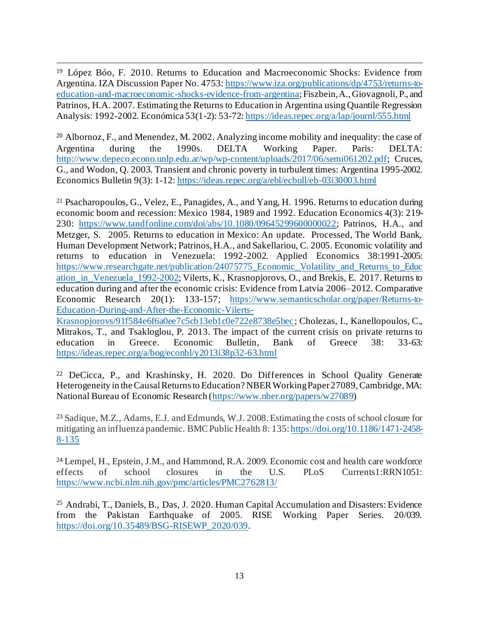<sup>19</sup> López Bóo, F. 2010. Returns to Education and Macroeconomic Shocks: Evidence from Argentina. IZA Discussion Paper No. 4753[: https://www.iza.org/publications/dp/4753/returns-to](https://www.iza.org/publications/dp/4753/returns-to-education-and-macroeconomic-shocks-evidence-from-argentina)[education-and-macroeconomic-shocks-evidence-from-argentina](https://www.iza.org/publications/dp/4753/returns-to-education-and-macroeconomic-shocks-evidence-from-argentina); Fiszbein, A., Giovagnoli, P., and Patrinos, H.A. 2007. Estimating the Returns to Education in Argentina using Quantile Regression Analysis: 1992-2002. Económica 53(1-2): 53-72[: https://ideas.repec.org/a/lap/journl/555.html](https://ideas.repec.org/a/lap/journl/555.html)

<sup>20</sup> Albornoz, F., and Menendez, M. 2002. Analyzing income mobility and inequality: the case of Argentina during the 1990s. DELTA Working Paper. Paris: DELTA: <http://www.depeco.econo.unlp.edu.ar/wp/wp-content/uploads/2017/06/semi061202.pdf>; Cruces, G., and Wodon, Q. 2003. Transient and chronic poverty in turbulent times: Argentina 1995-2002. Economics Bulletin 9(3): 1-12[: https://ideas.repec.org/a/ebl/ecbull/eb-03i30003.html](https://ideas.repec.org/a/ebl/ecbull/eb-03i30003.html)

<sup>21</sup> Psacharopoulos, G., Velez, E., Panagides, A., and Yang, H. 1996. Returns to education during economic boom and recession: Mexico 1984, 1989 and 1992. Education Economics 4(3): 219- 230: <https://www.tandfonline.com/doi/abs/10.1080/09645299600000022>; Patrinos, H.A., and Metzger, S. 2005. Returns to education in Mexico: An update. Processed, The World Bank, Human Development Network; Patrinos, H.A., and Sakellariou, C. 2005. Economic volatility and returns to education in Venezuela: 1992-2002. Applied Economics 38:1991-2005: [https://www.researchgate.net/publication/24075775\\_Economic\\_Volatility\\_and\\_Returns\\_to\\_Educ](https://www.researchgate.net/publication/24075775_Economic_Volatility_and_Returns_to_Education_in_Venezuela_1992-2002) ation in Venezuela 1992-2002; Vilerts, K., Krasnopjorovs, O., and Brekis, E. 2017. Returns to education during and after the economic crisis: Evidence from Latvia 2006–2012. Comparative Economic Research 20(1): 133-157; [https://www.semanticscholar.org/paper/Returns-to-](https://www.semanticscholar.org/paper/Returns-to-Education-During-and-After-the-Economic-Vilerts-Krasnopjorovs/91f584e6f6a0ee7c5cb13eb1c0e722e8738e5bec)[Education-During-and-After-the-Economic-Vilerts-](https://www.semanticscholar.org/paper/Returns-to-Education-During-and-After-the-Economic-Vilerts-Krasnopjorovs/91f584e6f6a0ee7c5cb13eb1c0e722e8738e5bec)

[Krasnopjorovs/91f584e6f6a0ee7c5cb13eb1c0e722e8738e5bec](https://www.semanticscholar.org/paper/Returns-to-Education-During-and-After-the-Economic-Vilerts-Krasnopjorovs/91f584e6f6a0ee7c5cb13eb1c0e722e8738e5bec); Cholezas, I., Kanellopoulos, C., Mitrakos, T., and Tsakloglou, P. 2013. The impact of the current crisis on private returns to education in Greece. Economic Bulletin, Bank of Greece 38: 33-63: <https://ideas.repec.org/a/bog/econbl/y2013i38p32-63.html>

<sup>22</sup> DeCicca, P., and Krashinsky, H. 2020. Do Differences in School Quality Generate Heterogeneity in the Causal Returns to Education? NBER Working Paper 27089, Cambridge, MA: National Bureau of Economic Research [\(https://www.nber.org/papers/w27089](https://www.nber.org/papers/w27089))

<sup>23</sup> Sadique, M.Z., Adams, E.J. and Edmunds, W.J. 2008. Estimating the costs of school closure for mitigating an influenza pandemic. BMC Public Health 8: 135[: https://doi.org/10.1186/1471-2458-](https://doi.org/10.1186/1471-2458-8-135) [8-135](https://doi.org/10.1186/1471-2458-8-135)

<sup>24</sup> Lempel, H., Epstein, J.M., and Hammond, R.A. 2009. Economic cost and health care workforce effects of school closures in the U.S. PLoS Currents1:RRN1051: <https://www.ncbi.nlm.nih.gov/pmc/articles/PMC2762813/>

<sup>25</sup> Andrabi, T., Daniels, B., Das, J. 2020. Human Capital Accumulation and Disasters: Evidence from the Pakistan Earthquake of 2005. RISE Working Paper Series. 20/039. [https://doi.org/10.35489/BSG-RISEWP\\_2020/039](https://doi.org/10.35489/BSG-RISEWP_2020/039).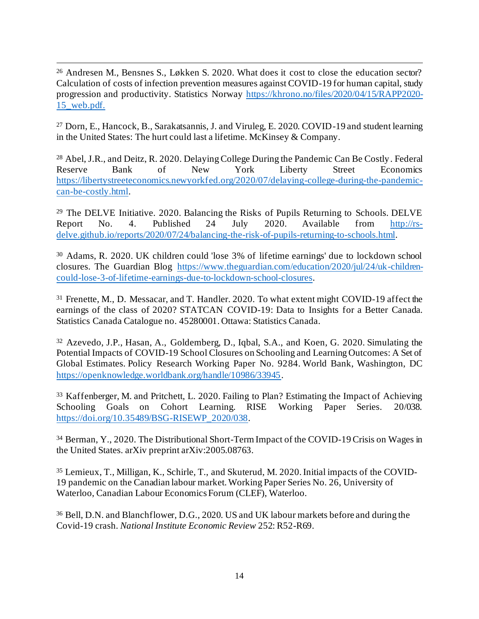<sup>26</sup> Andresen M., Bensnes S., Løkken S. 2020. What does it cost to close the education sector? Calculation of costs of infection prevention measures against COVID-19 for human capital, study progression and productivity. Statistics Norway [https://khrono.no/files/2020/04/15/RAPP2020-](https://khrono.no/files/2020/04/15/RAPP2020-15_web.pdf) [15\\_web.pdf](https://khrono.no/files/2020/04/15/RAPP2020-15_web.pdf).

<sup>27</sup> Dorn, E., Hancock, B., Sarakatsannis, J. and Viruleg, E. 2020. COVID-19 and student learning in the United States: The hurt could last a lifetime. McKinsey & Company.

<sup>28</sup> Abel, J.R., and Deitz, R. 2020. Delaying College During the Pandemic Can Be Costly. Federal Reserve Bank of New York Liberty Street Economics [https://libertystreeteconomics.newyorkfed.org/2020/07/delaying-college-during-the-pandemic](https://libertystreeteconomics.newyorkfed.org/2020/07/delaying-college-during-the-pandemic-can-be-costly.html)[can-be-costly.html](https://libertystreeteconomics.newyorkfed.org/2020/07/delaying-college-during-the-pandemic-can-be-costly.html).

 $29$  The DELVE Initiative. 2020. Balancing the Risks of Pupils Returning to Schools. DELVE Report No. 4. Published 24 July 2020. Available from [http://rs](http://rs-delve.github.io/reports/2020/07/24/balancing-the-risk-of-pupils-returning-to-schools.html)[delve.github.io/reports/2020/07/24/balancing-the-risk-of-pupils-returning-to-schools.html](http://rs-delve.github.io/reports/2020/07/24/balancing-the-risk-of-pupils-returning-to-schools.html).

<sup>30</sup> Adams, R. 2020. UK children could 'lose 3% of lifetime earnings' due to lockdown school closures. The Guardian Blog [https://www.theguardian.com/education/2020/jul/24/uk-children](https://www.theguardian.com/education/2020/jul/24/uk-children-could-lose-3-of-lifetime-earnings-due-to-lockdown-school-closures)[could-lose-3-of-lifetime-earnings-due-to-lockdown-school-closures](https://www.theguardian.com/education/2020/jul/24/uk-children-could-lose-3-of-lifetime-earnings-due-to-lockdown-school-closures).

<sup>31</sup> Frenette, M., D. Messacar, and T. Handler. 2020. To what extent might COVID-19 affect the earnings of the class of 2020? STATCAN COVID-19: Data to Insights for a Better Canada. Statistics Canada Catalogue no. 45280001. Ottawa: Statistics Canada.

<sup>32</sup> Azevedo, J.P., Hasan, A., Goldemberg, D., Iqbal, S.A., and Koen, G. 2020. Simulating the Potential Impacts of COVID-19 School Closures on Schooling and Learning Outcomes: A Set of Global Estimates. Policy Research Working Paper No. 9284. World Bank, Washington, DC <https://openknowledge.worldbank.org/handle/10986/33945>.

<sup>33</sup> Kaffenberger, M. and Pritchett, L. 2020. Failing to Plan? Estimating the Impact of Achieving Schooling Goals on Cohort Learning. RISE Working Paper Series. 20/038. [https://doi.org/10.35489/BSG-RISEWP\\_2020/038](https://doi.org/10.35489/BSG-RISEWP_2020/038).

<sup>34</sup> Berman, Y., 2020. The Distributional Short-Term Impact of the COVID-19 Crisis on Wages in the United States. arXiv preprint arXiv:2005.08763.

<sup>35</sup> Lemieux, T., Milligan, K., Schirle, T., and Skuterud, M. 2020. Initial impacts of the COVID-19 pandemic on the Canadian labour market. Working Paper Series No. 26, University of Waterloo, Canadian Labour Economics Forum (CLEF), Waterloo.

<sup>36</sup> Bell, D.N. and Blanchflower, D.G., 2020. US and UK labour markets before and during the Covid-19 crash. *National Institute Economic Review* 252: R52-R69.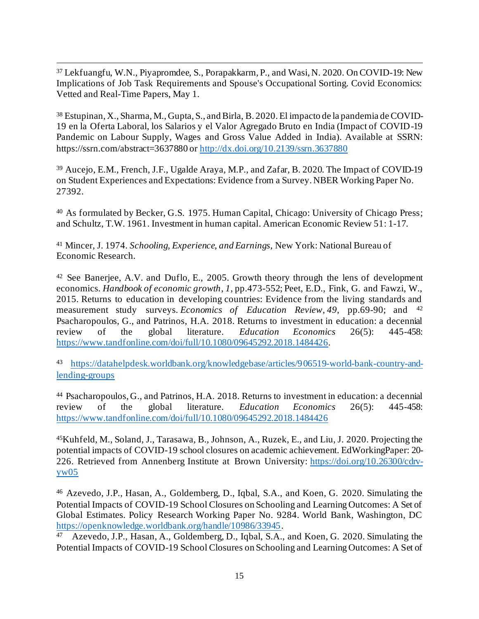<sup>37</sup> Lekfuangfu, W.N., Piyapromdee, S., Porapakkarm, P., and Wasi, N. 2020. On COVID-19: New Implications of Job Task Requirements and Spouse's Occupational Sorting. Covid Economics: Vetted and Real-Time Papers, May 1.

<sup>38</sup> Estupinan, X., Sharma, M., Gupta, S., and Birla, B. 2020. El impacto de la pandemia de COVID-19 en la Oferta Laboral, los Salarios y el Valor Agregado Bruto en India (Impact of COVID-19 Pandemic on Labour Supply, Wages and Gross Value Added in India). Available at SSRN: https://ssrn.com/abstract=3637880 o[r http://dx.doi.org/10.2139/ssrn.3637880](http://dx.doi.org/10.2139/ssrn.3637880)

<sup>39</sup> Aucejo, E.M., French, J.F., Ugalde Araya, M.P., and Zafar, B. 2020. The Impact of COVID-19 on Student Experiences and Expectations: Evidence from a Survey. NBER Working Paper No. 27392.

<sup>40</sup> As formulated by Becker, G.S. 1975. Human Capital, Chicago: University of Chicago Press; and Schultz, T.W. 1961. Investment in human capital. American Economic Review 51: 1-17.

<sup>41</sup> Mincer, J. 1974. *Schooling, Experience, and Earnings,* New York: National Bureau of Economic Research.

<sup>42</sup> See Banerjee, A.V. and Duflo, E., 2005. Growth theory through the lens of development economics. *Handbook of economic growth*, *1*, pp.473-552; Peet, E.D., Fink, G. and Fawzi, W., 2015. Returns to education in developing countries: Evidence from the living standards and measurement study surveys. *Economics of Education Review*, *49*, pp.69-90; and <sup>42</sup> Psacharopoulos, G., and Patrinos, H.A. 2018. Returns to investment in education: a decennial review of the global literature. *Education Economics* 26(5): 445-458: <https://www.tandfonline.com/doi/full/10.1080/09645292.2018.1484426>.

<sup>43</sup> [https://datahelpdesk.worldbank.org/knowledgebase/articles/906519-world-bank-country-and](https://datahelpdesk.worldbank.org/knowledgebase/articles/906519-world-bank-country-and-lending-groups)[lending-groups](https://datahelpdesk.worldbank.org/knowledgebase/articles/906519-world-bank-country-and-lending-groups)

<sup>44</sup> Psacharopoulos, G., and Patrinos, H.A. 2018. Returns to investment in education: a decennial review of the global literature. *Education Economics* 26(5): 445-458: <https://www.tandfonline.com/doi/full/10.1080/09645292.2018.1484426>

<sup>45</sup>Kuhfeld, M., Soland, J., Tarasawa, B., Johnson, A., Ruzek, E., and Liu, J. 2020. Projecting the potential impacts of COVID-19 school closures on academic achievement. EdWorkingPaper: 20- 226. Retrieved from Annenberg Institute at Brown University: [https://doi.org/10.26300/cdrv](https://doi.org/10.26300/cdrv-yw05)[yw05](https://doi.org/10.26300/cdrv-yw05)

<sup>46</sup> Azevedo, J.P., Hasan, A., Goldemberg, D., Iqbal, S.A., and Koen, G. 2020. Simulating the Potential Impacts of COVID-19 School Closures on Schooling and Learning Outcomes: A Set of Global Estimates. Policy Research Working Paper No. 9284. World Bank, Washington, DC <https://openknowledge.worldbank.org/handle/10986/33945>.

47 Azevedo, J.P., Hasan, A., Goldemberg, D., Iqbal, S.A., and Koen, G. 2020. Simulating the Potential Impacts of COVID-19 School Closures on Schooling and Learning Outcomes: A Set of